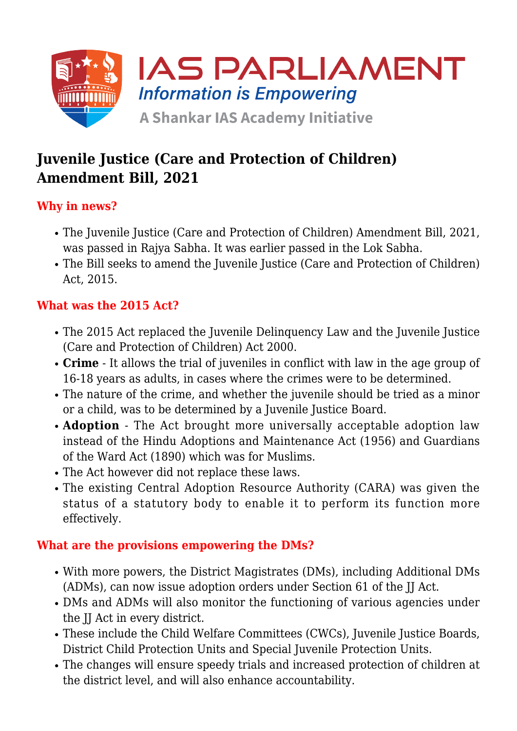

# **Juvenile Justice (Care and Protection of Children) Amendment Bill, 2021**

# **Why in news?**

- The Juvenile Justice (Care and Protection of Children) Amendment Bill, 2021, was passed in Rajya Sabha. It was earlier passed in the Lok Sabha.
- The Bill seeks to amend the Juvenile Justice (Care and Protection of Children) Act, 2015.

# **What was the 2015 Act?**

- The 2015 Act replaced the Juvenile Delinquency Law and the Juvenile Justice (Care and Protection of Children) Act 2000.
- **Crime** It allows the trial of juveniles in conflict with law in the age group of 16-18 years as adults, in cases where the crimes were to be determined.
- The nature of the crime, and whether the juvenile should be tried as a minor or a child, was to be determined by a Juvenile Justice Board.
- **Adoption** The Act brought more universally acceptable adoption law instead of the Hindu Adoptions and Maintenance Act (1956) and Guardians of the Ward Act (1890) which was for Muslims.
- The Act however did not replace these laws.
- The existing Central Adoption Resource Authority (CARA) was given the status of a statutory body to enable it to perform its function more effectively.

### **What are the provisions empowering the DMs?**

- With more powers, the District Magistrates (DMs), including Additional DMs (ADMs), can now issue adoption orders under Section 61 of the JJ Act.
- DMs and ADMs will also monitor the functioning of various agencies under the JJ Act in every district.
- These include the Child Welfare Committees (CWCs), Juvenile Justice Boards, District Child Protection Units and Special Juvenile Protection Units.
- The changes will ensure speedy trials and increased protection of children at the district level, and will also enhance accountability.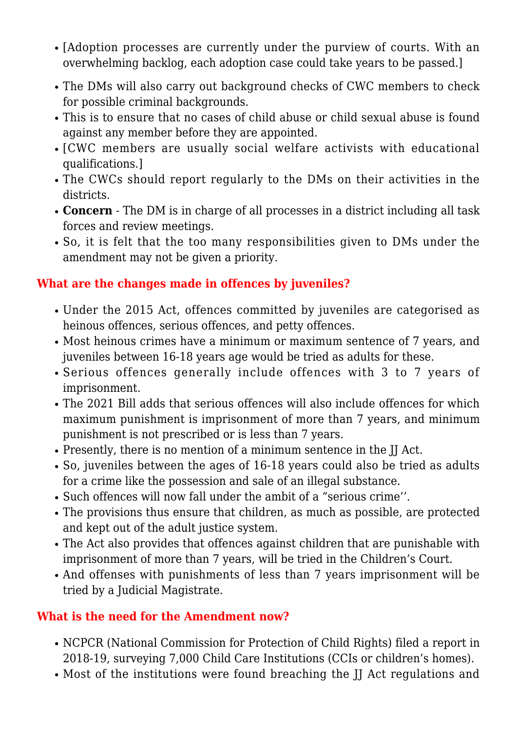- [Adoption processes are currently under the purview of courts. With an overwhelming backlog, each adoption case could take years to be passed.]
- The DMs will also carry out background checks of CWC members to check for possible criminal backgrounds.
- This is to ensure that no cases of child abuse or child sexual abuse is found against any member before they are appointed.
- [CWC members are usually social welfare activists with educational qualifications.]
- The CWCs should report regularly to the DMs on their activities in the districts.
- **Concern** The DM is in charge of all processes in a district including all task forces and review meetings.
- So, it is felt that the too many responsibilities given to DMs under the amendment may not be given a priority.

# **What are the changes made in offences by juveniles?**

- Under the 2015 Act, offences committed by juveniles are categorised as heinous offences, serious offences, and petty offences.
- Most heinous crimes have a minimum or maximum sentence of 7 years, and juveniles between 16-18 years age would be tried as adults for these.
- Serious offences generally include offences with 3 to 7 years of imprisonment.
- The 2021 Bill adds that serious offences will also include offences for which maximum punishment is imprisonment of more than 7 years, and minimum punishment is not prescribed or is less than 7 years.
- Presently, there is no mention of a minimum sentence in the JJ Act.
- So, juveniles between the ages of 16-18 years could also be tried as adults for a crime like the possession and sale of an illegal substance.
- Such offences will now fall under the ambit of a "serious crime''.
- The provisions thus ensure that children, as much as possible, are protected and kept out of the adult justice system.
- The Act also provides that offences against children that are punishable with imprisonment of more than 7 years, will be tried in the Children's Court.
- And offenses with punishments of less than 7 years imprisonment will be tried by a Judicial Magistrate.

# **What is the need for the Amendment now?**

- NCPCR (National Commission for Protection of Child Rights) filed a report in 2018-19, surveying 7,000 Child Care Institutions (CCIs or children's homes).
- Most of the institutions were found breaching the II Act regulations and